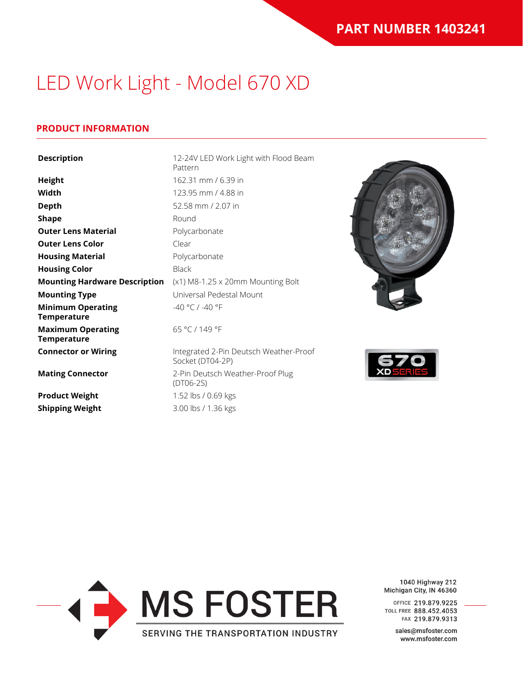### **PRODUCT INFORMATION**

| <b>Description</b>                             | 12-24V LED Work Light with Flood Beam<br>Pattern           |
|------------------------------------------------|------------------------------------------------------------|
| <b>Height</b>                                  | 162.31 mm / 6.39 in                                        |
| Width                                          | 123.95 mm / 4.88 in                                        |
| <b>Depth</b>                                   | 52.58 mm / 2.07 in                                         |
| <b>Shape</b>                                   | Round                                                      |
| <b>Outer Lens Material</b>                     | Polycarbonate                                              |
| <b>Outer Lens Color</b>                        | Clear                                                      |
| <b>Housing Material</b>                        | Polycarbonate                                              |
| <b>Housing Color</b>                           | <b>Black</b>                                               |
| <b>Mounting Hardware Description</b>           | (x1) M8-1.25 x 20mm Mounting Bolt                          |
| <b>Mounting Type</b>                           | Universal Pedestal Mount                                   |
| <b>Minimum Operating</b><br><b>Temperature</b> | -40 °C / -40 °F                                            |
| <b>Maximum Operating</b><br><b>Temperature</b> | 65 °C / 149 °F                                             |
| <b>Connector or Wiring</b>                     | Integrated 2-Pin Deutsch Weather-Proof<br>Socket (DT04-2P) |
| <b>Mating Connector</b>                        | 2-Pin Deutsch Weather-Proof Plug<br>$(DTO6-2S)$            |
| <b>Product Weight</b>                          | 1.52 lbs / 0.69 kgs                                        |
| <b>Shipping Weight</b>                         | 3.00 lbs / 1.36 kgs                                        |







1040 Highway 212 Michigan City, IN 46360

OFFICE 219.879.9225 TOLL FREE 888.452.4053 FAX 219.879.9313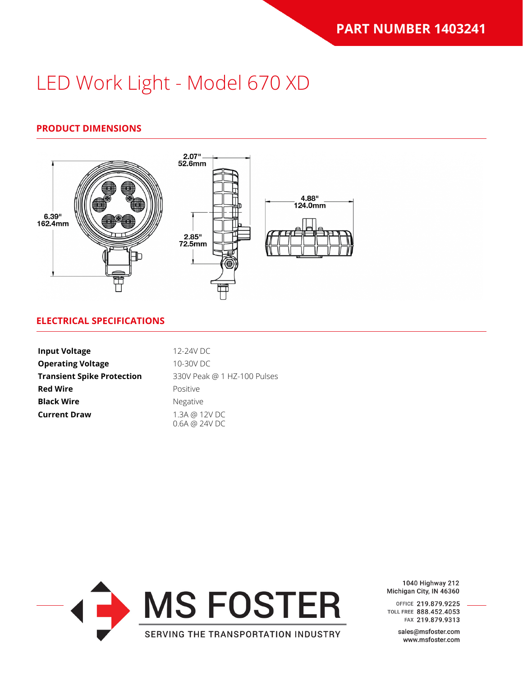# **PRODUCT DIMENSIONS**



### **ELECTRICAL SPECIFICATIONS**

| <b>Input Voltage</b>              | 12-24V DC                      |
|-----------------------------------|--------------------------------|
| <b>Operating Voltage</b>          | 10-30V DC                      |
| <b>Transient Spike Protection</b> | 330V Peak @ 1 HZ-100 Pulses    |
| <b>Red Wire</b>                   | Positive                       |
| <b>Black Wire</b>                 | <b>Negative</b>                |
| <b>Current Draw</b>               | 1.3A @ 12V DC<br>0.6A @ 24V DC |



1040 Highway 212 Michigan City, IN 46360

OFFICE 219.879.9225 TOLL FREE 888.452.4053 FAX 219.879.9313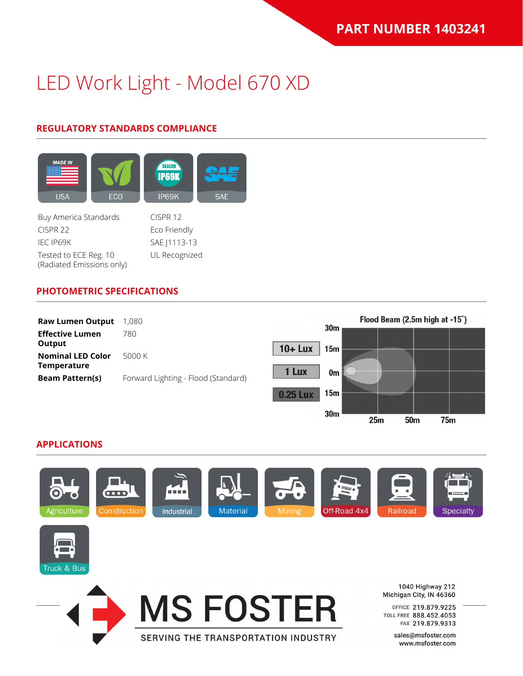# **REGULATORY STANDARDS COMPLIANCE**



Buy America Standards CISPR 12 CISPR 22 Eco Friendly IEC IP69K SAE J1113-13 Tested to ECE Reg. 10 (Radiated Emissions only)

UL Recognized

### **PHOTOMETRIC SPECIFICATIONS**



### **APPLICATIONS**



SERVING THE TRANSPORTATION INDUSTRY



**MS FOSTER** 

 $25m$ 

50<sub>m</sub>

 $75<sub>m</sub>$ 

1040 Highway 212 Michigan City, IN 46360

OFFICE 219.879.9225 TOLL FREE 888.452.4053 FAX 219.879.9313